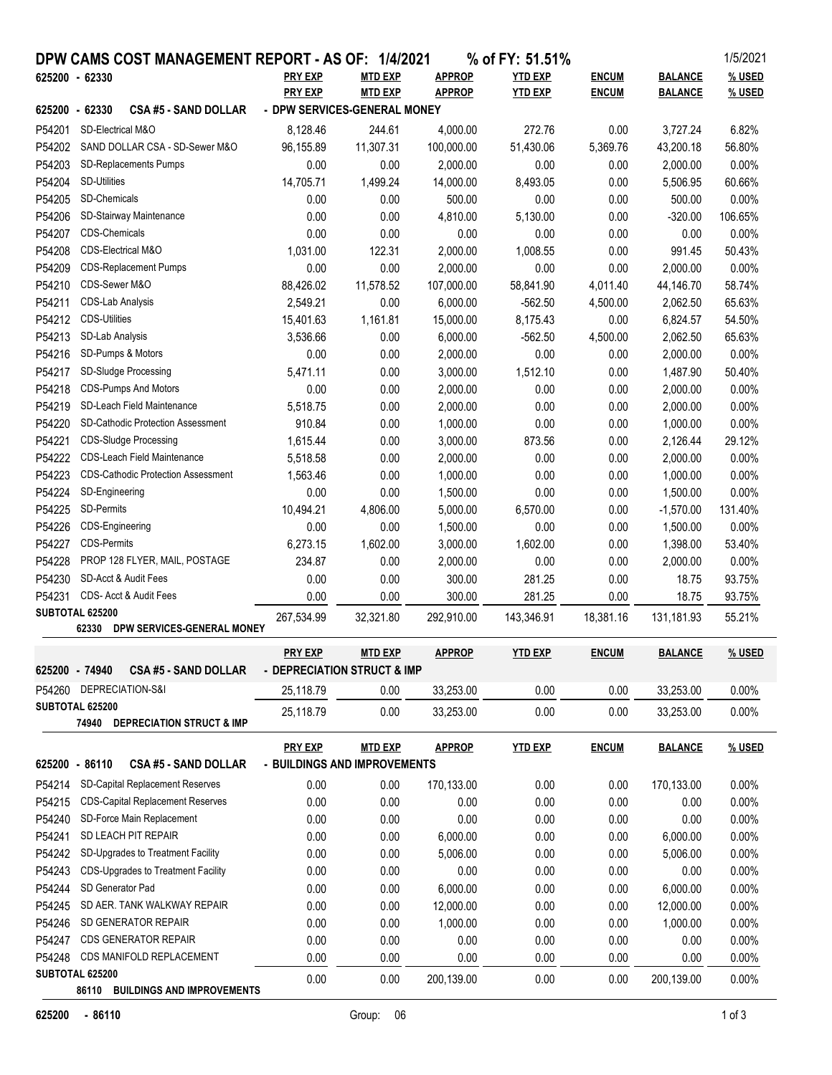|                | DPW CAMS COST MANAGEMENT REPORT - AS OF: 1/4/2021      |                              |                |               | % of FY: 51.51% |              |                | 1/5/2021 |
|----------------|--------------------------------------------------------|------------------------------|----------------|---------------|-----------------|--------------|----------------|----------|
| 625200 - 62330 |                                                        | <b>PRY EXP</b>               | <b>MTD EXP</b> | <b>APPROP</b> | <b>YTD EXP</b>  | <b>ENCUM</b> | <b>BALANCE</b> | % USED   |
|                |                                                        | <b>PRY EXP</b>               | <b>MTD EXP</b> | <b>APPROP</b> | <b>YTD EXP</b>  | <b>ENCUM</b> | <b>BALANCE</b> | % USED   |
| 625200 - 62330 | <b>CSA #5 - SAND DOLLAR</b>                            | - DPW SERVICES-GENERAL MONEY |                |               |                 |              |                |          |
| P54201         | SD-Electrical M&O                                      | 8,128.46                     | 244.61         | 4,000.00      | 272.76          | 0.00         | 3,727.24       | 6.82%    |
| P54202         | SAND DOLLAR CSA - SD-Sewer M&O                         | 96,155.89                    | 11,307.31      | 100,000.00    | 51,430.06       | 5,369.76     | 43,200.18      | 56.80%   |
| P54203         | <b>SD-Replacements Pumps</b>                           | 0.00                         | 0.00           | 2,000.00      | 0.00            | 0.00         | 2,000.00       | 0.00%    |
| P54204         | <b>SD-Utilities</b>                                    | 14,705.71                    | 1,499.24       | 14,000.00     | 8,493.05        | 0.00         | 5,506.95       | 60.66%   |
| P54205         | SD-Chemicals                                           | 0.00                         | 0.00           | 500.00        | 0.00            | 0.00         | 500.00         | 0.00%    |
| P54206         | SD-Stairway Maintenance                                | 0.00                         | 0.00           | 4,810.00      | 5,130.00        | 0.00         | $-320.00$      | 106.65%  |
| P54207         | <b>CDS-Chemicals</b>                                   | 0.00                         | 0.00           | 0.00          | 0.00            | 0.00         | 0.00           | 0.00%    |
| P54208         | CDS-Electrical M&O                                     | 1,031.00                     | 122.31         | 2,000.00      | 1,008.55        | 0.00         | 991.45         | 50.43%   |
| P54209         | <b>CDS-Replacement Pumps</b>                           | 0.00                         | 0.00           | 2,000.00      | 0.00            | 0.00         | 2,000.00       | 0.00%    |
| P54210         | CDS-Sewer M&O                                          | 88,426.02                    | 11,578.52      | 107,000.00    | 58,841.90       | 4,011.40     | 44,146.70      | 58.74%   |
| P54211         | CDS-Lab Analysis                                       | 2,549.21                     | 0.00           | 6,000.00      | $-562.50$       | 4,500.00     | 2,062.50       | 65.63%   |
| P54212         | <b>CDS-Utilities</b>                                   | 15,401.63                    | 1,161.81       | 15,000.00     | 8,175.43        | 0.00         | 6,824.57       | 54.50%   |
| P54213         | SD-Lab Analysis                                        | 3,536.66                     | 0.00           | 6,000.00      | $-562.50$       | 4,500.00     | 2,062.50       | 65.63%   |
| P54216         | SD-Pumps & Motors                                      | 0.00                         | 0.00           | 2,000.00      | 0.00            | 0.00         | 2,000.00       | 0.00%    |
| P54217         | SD-Sludge Processing                                   | 5,471.11                     | 0.00           | 3,000.00      | 1,512.10        | 0.00         | 1,487.90       | 50.40%   |
| P54218         | <b>CDS-Pumps And Motors</b>                            | 0.00                         | 0.00           | 2,000.00      | 0.00            | 0.00         | 2,000.00       | 0.00%    |
| P54219         | SD-Leach Field Maintenance                             | 5,518.75                     | 0.00           | 2,000.00      | 0.00            | 0.00         | 2,000.00       | 0.00%    |
| P54220         | <b>SD-Cathodic Protection Assessment</b>               | 910.84                       | 0.00           | 1,000.00      | 0.00            | 0.00         | 1,000.00       | 0.00%    |
| P54221         | <b>CDS-Sludge Processing</b>                           | 1,615.44                     | 0.00           | 3,000.00      | 873.56          | 0.00         | 2,126.44       | 29.12%   |
| P54222         | <b>CDS-Leach Field Maintenance</b>                     | 5,518.58                     | 0.00           | 2,000.00      | 0.00            | 0.00         | 2,000.00       | 0.00%    |
| P54223         | <b>CDS-Cathodic Protection Assessment</b>              | 1,563.46                     | 0.00           | 1,000.00      | 0.00            | 0.00         | 1,000.00       | 0.00%    |
| P54224         | SD-Engineering                                         | 0.00                         | 0.00           | 1,500.00      | 0.00            | 0.00         | 1,500.00       | 0.00%    |
| P54225         | <b>SD-Permits</b>                                      | 10,494.21                    | 4,806.00       | 5,000.00      | 6,570.00        | 0.00         | $-1,570.00$    | 131.40%  |
| P54226         | CDS-Engineering                                        | 0.00                         | 0.00           | 1,500.00      | 0.00            | 0.00         | 1,500.00       | 0.00%    |
| P54227         | <b>CDS-Permits</b>                                     | 6,273.15                     | 1,602.00       | 3,000.00      | 1,602.00        | 0.00         | 1,398.00       | 53.40%   |
| P54228         | PROP 128 FLYER, MAIL, POSTAGE                          | 234.87                       | 0.00           | 2,000.00      | 0.00            | 0.00         | 2,000.00       | 0.00%    |
| P54230         | SD-Acct & Audit Fees                                   | 0.00                         | 0.00           | 300.00        | 281.25          | 0.00         | 18.75          | 93.75%   |
| P54231         | CDS- Acct & Audit Fees                                 | 0.00                         | 0.00           | 300.00        | 281.25          | 0.00         | 18.75          | 93.75%   |
|                | SUBTOTAL 625200<br>62330<br>DPW SERVICES-GENERAL MONEY | 267,534.99                   | 32,321.80      | 292,910.00    | 143,346.91      | 18,381.16    | 131,181.93     | 55.21%   |
|                |                                                        |                              |                |               |                 |              |                |          |
|                |                                                        | <b>PRY EXP</b>               | <b>MTD EXP</b> | <b>APPROP</b> | <b>YTD EXP</b>  | <b>ENCUM</b> | <b>BALANCE</b> | % USED   |
| 625200 - 74940 | <b>CSA #5 - SAND DOLLAR</b>                            | - DEPRECIATION STRUCT & IMP  |                |               |                 |              |                |          |
|                | P54260 DEPRECIATION-S&I                                | 25,118.79                    | 0.00           | 33,253.00     | 0.00            | 0.00         | 33,253.00      | 0.00%    |
|                | SUBTOTAL 625200                                        | 25,118.79                    | 0.00           | 33,253.00     | 0.00            | 0.00         | 33,253.00      | 0.00%    |
|                | <b>DEPRECIATION STRUCT &amp; IMP</b><br>74940          |                              |                |               |                 |              |                |          |
|                |                                                        | <b>PRY EXP</b>               | <b>MTD EXP</b> | <b>APPROP</b> | <b>YTD EXP</b>  | <b>ENCUM</b> | <b>BALANCE</b> | % USED   |
| 625200 - 86110 | <b>CSA #5 - SAND DOLLAR</b>                            | - BUILDINGS AND IMPROVEMENTS |                |               |                 |              |                |          |
| P54214         | SD-Capital Replacement Reserves                        | 0.00                         | 0.00           | 170,133.00    | 0.00            | 0.00         | 170,133.00     | 0.00%    |
| P54215         | <b>CDS-Capital Replacement Reserves</b>                | 0.00                         | 0.00           | 0.00          | 0.00            | 0.00         | 0.00           | 0.00%    |
| P54240         | SD-Force Main Replacement                              | 0.00                         | 0.00           | 0.00          | 0.00            | 0.00         | 0.00           | 0.00%    |
| P54241         | SD LEACH PIT REPAIR                                    | 0.00                         | 0.00           | 6,000.00      | 0.00            | 0.00         | 6,000.00       | 0.00%    |
| P54242         | SD-Upgrades to Treatment Facility                      | 0.00                         | 0.00           | 5,006.00      | 0.00            | 0.00         | 5,006.00       | 0.00%    |
| P54243         | CDS-Upgrades to Treatment Facility                     | 0.00                         | 0.00           | 0.00          | 0.00            | 0.00         | 0.00           | 0.00%    |
| P54244         | SD Generator Pad                                       | 0.00                         | 0.00           | 6,000.00      | 0.00            | 0.00         | 6,000.00       | 0.00%    |
| P54245         | SD AER. TANK WALKWAY REPAIR                            | 0.00                         | 0.00           | 12,000.00     | 0.00            | 0.00         | 12,000.00      | 0.00%    |
| P54246         | SD GENERATOR REPAIR                                    | 0.00                         | 0.00           | 1,000.00      | 0.00            | 0.00         | 1,000.00       | 0.00%    |
| P54247         | <b>CDS GENERATOR REPAIR</b>                            | 0.00                         | 0.00           | 0.00          | 0.00            | 0.00         | 0.00           | 0.00%    |
| P54248         | CDS MANIFOLD REPLACEMENT                               | 0.00                         | 0.00           | 0.00          | 0.00            | 0.00         | 0.00           | 0.00%    |
|                | SUBTOTAL 625200                                        | 0.00                         | 0.00           | 200,139.00    | 0.00            | 0.00         | 200,139.00     | 0.00%    |
|                | 86110 BUILDINGS AND IMPROVEMENTS                       |                              |                |               |                 |              |                |          |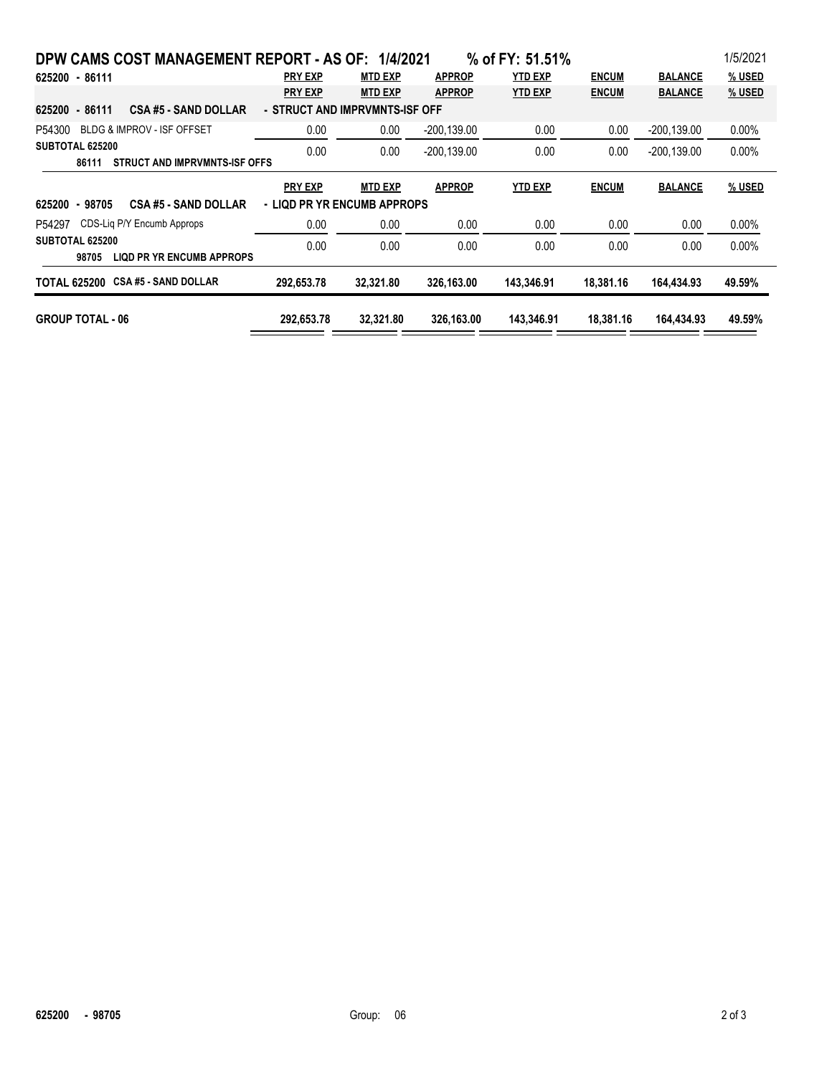| DPW CAMS COST MANAGEMENT REPORT - AS OF: 1/4/2021                                |                |                |                | % of FY: 51.51% |              |                | 1/5/2021      |  |  |  |
|----------------------------------------------------------------------------------|----------------|----------------|----------------|-----------------|--------------|----------------|---------------|--|--|--|
| 625200 - 86111                                                                   | <b>PRY EXP</b> | <b>MTD EXP</b> | <b>APPROP</b>  | <b>YTD EXP</b>  | <b>ENCUM</b> | <b>BALANCE</b> | <b>% USED</b> |  |  |  |
|                                                                                  | <b>PRY EXP</b> | <b>MTD EXP</b> | <b>APPROP</b>  | <b>YTD EXP</b>  | <b>ENCUM</b> | <b>BALANCE</b> | % USED        |  |  |  |
| 625200 - 86111<br><b>CSA #5 - SAND DOLLAR</b><br>- STRUCT AND IMPRVMNTS-ISF OFF  |                |                |                |                 |              |                |               |  |  |  |
| BLDG & IMPROV - ISF OFFSET<br>P54300                                             | 0.00           | 0.00           | $-200, 139.00$ | 0.00            | 0.00         | $-200,139.00$  | 0.00%         |  |  |  |
| SUBTOTAL 625200<br>STRUCT AND IMPRVMNTS-ISF OFFS<br>86111                        | 0.00           | 0.00           | -200.139.00    | 0.00            | 0.00         | -200.139.00    | 0.00%         |  |  |  |
|                                                                                  | <b>PRY EXP</b> | <b>MTD EXP</b> | <b>APPROP</b>  | <b>YTD EXP</b>  | <b>ENCUM</b> | <b>BALANCE</b> | % USED        |  |  |  |
| - LIQD PR YR ENCUMB APPROPS<br>$-98705$<br><b>CSA #5 - SAND DOLLAR</b><br>625200 |                |                |                |                 |              |                |               |  |  |  |
| CDS-Lig P/Y Encumb Approps<br>P54297                                             | 0.00           | 0.00           | 0.00           | 0.00            | 0.00         | 0.00           | 0.00%         |  |  |  |
| SUBTOTAL 625200<br><b>LIQD PR YR ENCUMB APPROPS</b><br>98705                     | 0.00           | 0.00           | 0.00           | 0.00            | 0.00         | 0.00           | 0.00%         |  |  |  |
| <b>CSA #5 - SAND DOLLAR</b><br>TOTAL 625200                                      | 292.653.78     | 32,321.80      | 326,163.00     | 143,346.91      | 18.381.16    | 164.434.93     | 49.59%        |  |  |  |
| <b>GROUP TOTAL - 06</b>                                                          | 292,653.78     | 32,321.80      | 326,163.00     | 143,346.91      | 18,381.16    | 164,434.93     | 49.59%        |  |  |  |